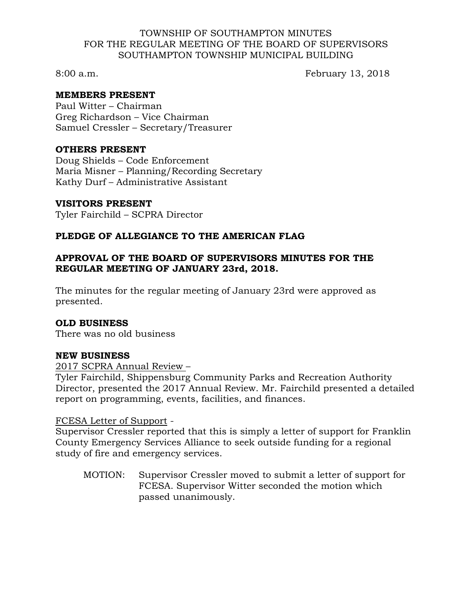### TOWNSHIP OF SOUTHAMPTON MINUTES FOR THE REGULAR MEETING OF THE BOARD OF SUPERVISORS SOUTHAMPTON TOWNSHIP MUNICIPAL BUILDING

8:00 a.m. February 13, 2018

## **MEMBERS PRESENT**

Paul Witter – Chairman Greg Richardson – Vice Chairman Samuel Cressler – Secretary/Treasurer

### **OTHERS PRESENT**

Doug Shields – Code Enforcement Maria Misner – Planning/Recording Secretary Kathy Durf – Administrative Assistant

#### **VISITORS PRESENT**

Tyler Fairchild – SCPRA Director

# **PLEDGE OF ALLEGIANCE TO THE AMERICAN FLAG**

# **APPROVAL OF THE BOARD OF SUPERVISORS MINUTES FOR THE REGULAR MEETING OF JANUARY 23rd, 2018.**

The minutes for the regular meeting of January 23rd were approved as presented.

## **OLD BUSINESS**

There was no old business

## **NEW BUSINESS**

2017 SCPRA Annual Review –

Tyler Fairchild, Shippensburg Community Parks and Recreation Authority Director, presented the 2017 Annual Review. Mr. Fairchild presented a detailed report on programming, events, facilities, and finances.

# FCESA Letter of Support -

Supervisor Cressler reported that this is simply a letter of support for Franklin County Emergency Services Alliance to seek outside funding for a regional study of fire and emergency services.

MOTION: Supervisor Cressler moved to submit a letter of support for FCESA. Supervisor Witter seconded the motion which passed unanimously.